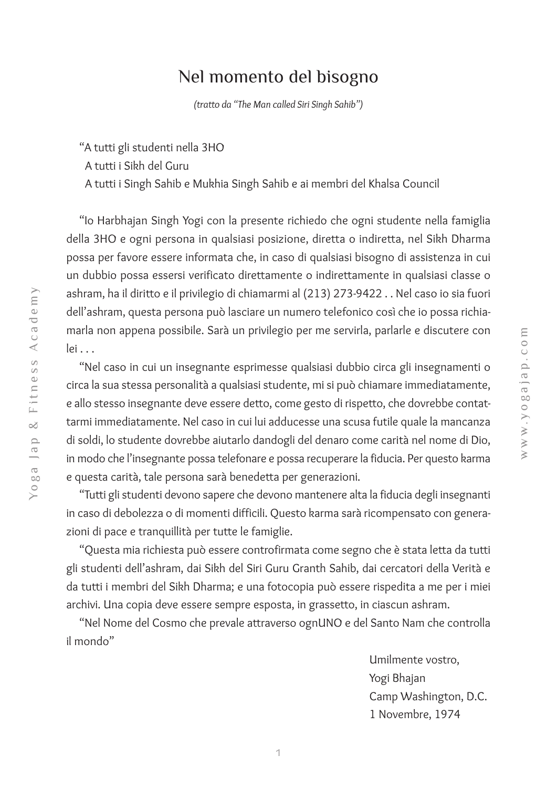## Nel momento del bisogno

*(tratto da "The Man called Siri Singh Sahib")*

"A tutti gli studenti nella 3HO

A tutti i Sikh del Guru

A tutti i Singh Sahib e Mukhia Singh Sahib e ai membri del Khalsa Council

"Io Harbhajan Singh Yogi con la presente richiedo che ogni studente nella famiglia della 3HO e ogni persona in qualsiasi posizione, diretta o indiretta, nel Sikh Dharma possa per favore essere informata che, in caso di qualsiasi bisogno di assistenza in cui un dubbio possa essersi verificato direttamente o indirettamente in qualsiasi classe o ashram, ha il diritto e il privilegio di chiamarmi al (213) 273-9422 . . Nel caso io sia fuori dell'ashram, questa persona può lasciare un numero telefonico così che io possa richiamarla non appena possibile. Sarà un privilegio per me servirla, parlarle e discutere con lei . . .

"Nel caso in cui un insegnante esprimesse qualsiasi dubbio circa gli insegnamenti o circa la sua stessa personalità a qualsiasi studente, mi si può chiamare immediatamente, e allo stesso insegnante deve essere detto, come gesto di rispetto, che dovrebbe contattarmi immediatamente. Nel caso in cui lui adducesse una scusa futile quale la mancanza di soldi, lo studente dovrebbe aiutarlo dandogli del denaro come carità nel nome di Dio, in modo che l'insegnante possa telefonare e possa recuperare la fiducia. Per questo karma e questa carità, tale persona sarà benedetta per generazioni.

"Tutti gli studenti devono sapere che devono mantenere alta la fiducia degli insegnanti in caso di debolezza o di momenti difficili. Questo karma sarà ricompensato con generazioni di pace e tranquillità per tutte le famiglie.

"Questa mia richiesta può essere controfirmata come segno che è stata letta da tutti gli studenti dell'ashram, dai Sikh del Siri Guru Granth Sahib, dai cercatori della Verità e da tutti i membri del Sikh Dharma; e una fotocopia può essere rispedita a me per i miei archivi. Una copia deve essere sempre esposta, in grassetto, in ciascun ashram.

"Nel Nome del Cosmo che prevale attraverso ognUNO e del Santo Nam che controlla il mondo"

> Umilmente vostro, Yogi Bhajan Camp Washington, D.C. 1 Novembre, 1974

 $\geqslant$  $\geqslant$  $\times$   $\times$ o pc a j a

p . c o  $\Xi$